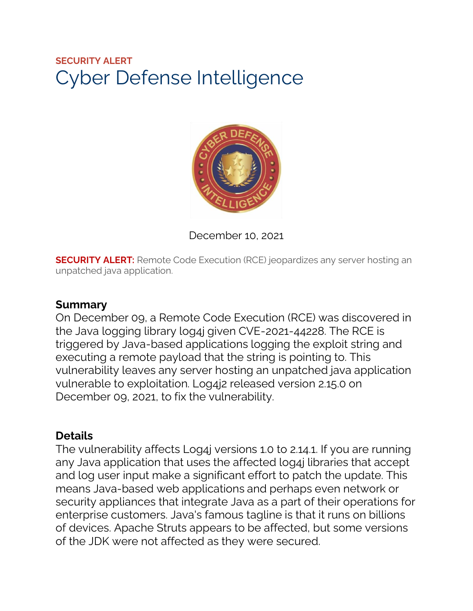# **SECURITY ALERT** Cyber Defense Intelligence



December 10, 2021

**SECURITY ALERT:** Remote Code Execution (RCE) jeopardizes any server hosting an unpatched java application.

### **Summary**

On December 09, a Remote Code Execution (RCE) was discovered in the Java logging library log4j given CVE-2021-44228. The RCE is triggered by Java-based applications logging the exploit string and executing a remote payload that the string is pointing to. This vulnerability leaves any server hosting an unpatched java application vulnerable to exploitation. Log4j2 released version 2.15.0 on December 09, 2021, to fix the vulnerability.

## **Details**

The vulnerability affects Log4j versions 1.0 to 2.14.1. If you are running any Java application that uses the affected log4j libraries that accept and log user input make a significant effort to patch the update. This means Java-based web applications and perhaps even network or security appliances that integrate Java as a part of their operations for enterprise customers. Java's famous tagline is that it runs on billions of devices. Apache Struts appears to be affected, but some versions of the JDK were not affected as they were secured.